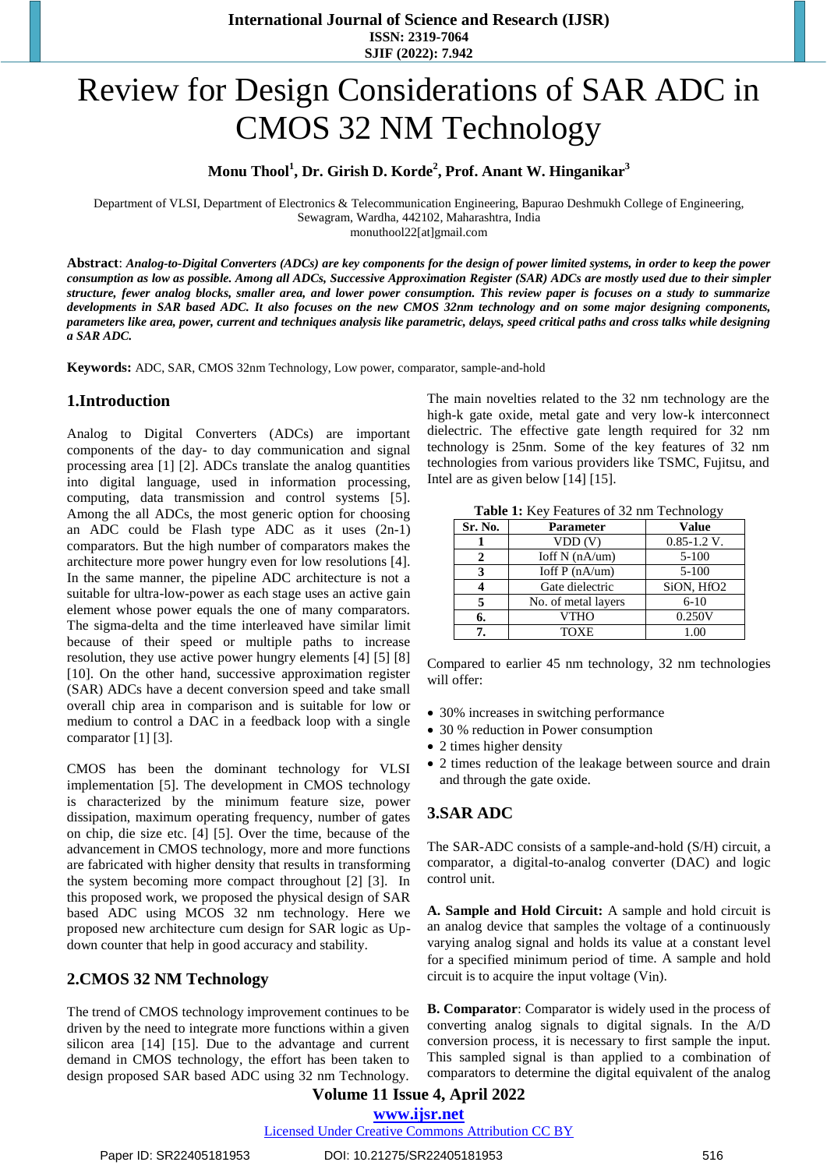# Review for Design Considerations of SAR ADC in CMOS 32 NM Technology

**Monu Thool<sup>1</sup> , Dr. Girish D. Korde<sup>2</sup> , Prof. Anant W. Hinganikar<sup>3</sup>**

Department of VLSI, Department of Electronics & Telecommunication Engineering, Bapurao Deshmukh College of Engineering, Sewagram, Wardha, 442102, Maharashtra, India

monuthool22[at]gmail.com

**Abstract**: *Analog-to-Digital Converters (ADCs) are key components for the design of power limited systems, in order to keep the power consumption as low as possible. Among all ADCs, Successive Approximation Register (SAR) ADCs are mostly used due to their simpler structure, fewer analog blocks, smaller area, and lower power consumption. This review paper is focuses on a study to summarize developments in SAR based ADC. It also focuses on the new CMOS 32nm technology and on some major designing components, parameters like area, power, current and techniques analysis like parametric, delays, speed critical paths and cross talks while designing a SAR ADC.*

**Keywords:** ADC, SAR, CMOS 32nm Technology, Low power, comparator, sample-and-hold

## **1.Introduction**

Analog to Digital Converters (ADCs) are important components of the day- to day communication and signal processing area [1] [2]. ADCs translate the analog quantities into digital language, used in information processing, computing, data transmission and control systems [5]. Among the all ADCs, the most generic option for choosing an ADC could be Flash type ADC as it uses (2n-1) comparators. But the high number of comparators makes the architecture more power hungry even for low resolutions [4]. In the same manner, the pipeline ADC architecture is not a suitable for ultra-low-power as each stage uses an active gain element whose power equals the one of many comparators. The sigma-delta and the time interleaved have similar limit because of their speed or multiple paths to increase resolution, they use active power hungry elements [4] [5] [8] [10]. On the other hand, successive approximation register (SAR) ADCs have a decent conversion speed and take small overall chip area in comparison and is suitable for low or medium to control a DAC in a feedback loop with a single comparator [1] [3].

CMOS has been the dominant technology for VLSI implementation [5]. The development in CMOS technology is characterized by the minimum feature size, power dissipation, maximum operating frequency, number of gates on chip, die size etc. [4] [5]. Over the time, because of the advancement in CMOS technology, more and more functions are fabricated with higher density that results in transforming the system becoming more compact throughout [2] [3]. In this proposed work, we proposed the physical design of SAR based ADC using MCOS 32 nm technology. Here we proposed new architecture cum design for SAR logic as Updown counter that help in good accuracy and stability.

## **2.CMOS 32 NM Technology**

The trend of CMOS technology improvement continues to be driven by the need to integrate more functions within a given silicon area [14] [15]. Due to the advantage and current demand in CMOS technology, the effort has been taken to design proposed SAR based ADC using 32 nm Technology. The main novelties related to the 32 nm technology are the high-k gate oxide, metal gate and very low-k interconnect dielectric. The effective gate length required for 32 nm technology is 25nm. Some of the key features of 32 nm technologies from various providers like TSMC, Fujitsu, and Intel are as given below [14] [15].

| <b>Table 1:</b> Key Features of 32 nm Technology |  |
|--------------------------------------------------|--|
|--------------------------------------------------|--|

| Sr. No. | <b>Parameter</b>        | <b>Value</b>    |
|---------|-------------------------|-----------------|
|         | VDD(V)                  | $0.85 - 1.2$ V. |
|         | $\text{Ioff N}$ (nA/um) | $5 - 100$       |
| 3       | Ioff $P(nA/um)$         | $5 - 100$       |
|         | Gate dielectric         | SiON, HfO2      |
|         | No. of metal layers     | $6 - 10$        |
| 6.      | <b>VTHO</b>             | 0.250V          |
|         | <b>TOXE</b>             | 1.00            |

Compared to earlier 45 nm technology, 32 nm technologies will offer:

- 30% increases in switching performance
- 30 % reduction in Power consumption
- 2 times higher density
- 2 times reduction of the leakage between source and drain and through the gate oxide.

## **3.SAR ADC**

The SAR-ADC consists of a sample-and-hold (S/H) circuit, a comparator, a digital-to-analog converter (DAC) and logic control unit.

**A. Sample and Hold Circuit:** A sample and hold circuit is an analog device that samples the voltage of a continuously varying analog signal and holds its value at a constant level for a specified minimum period of time. A sample and hold circuit is to acquire the input voltage (Vin).

**B. Comparator**: Comparator is widely used in the process of converting analog signals to digital signals. In the A/D conversion process, it is necessary to first sample the input. This sampled signal is than applied to a combination of comparators to determine the digital equivalent of the analog

**Volume 11 Issue 4, April 2022 www.ijsr.net**

Licensed Under Creative Commons Attribution CC BY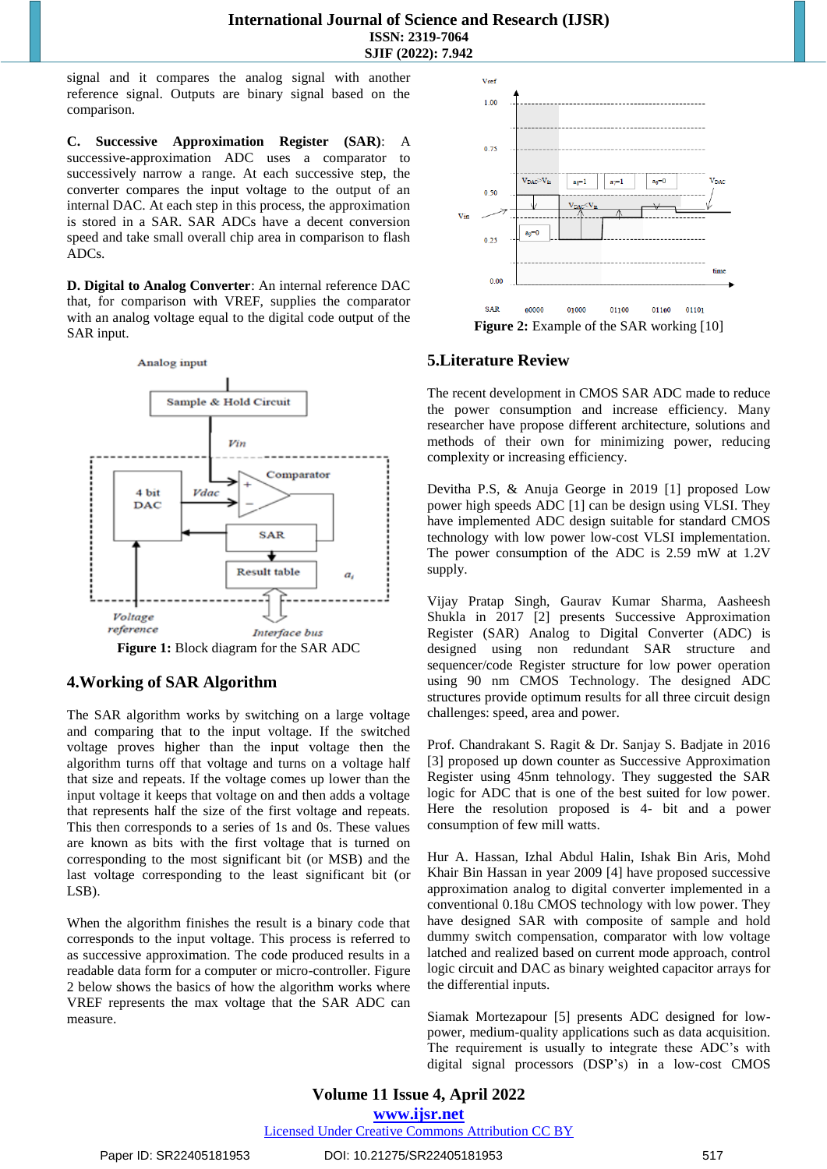signal and it compares the analog signal with another reference signal. Outputs are binary signal based on the comparison.

**C. Successive Approximation Register (SAR)**: A successive-approximation ADC uses a comparator to successively narrow a range. At each successive step, the converter compares the input voltage to the output of an internal DAC. At each step in this process, the approximation is stored in a SAR. SAR ADCs have a decent conversion speed and take small overall chip area in comparison to flash ADCs.

**D. Digital to Analog Converter**: An internal reference DAC that, for comparison with VREF, supplies the comparator with an analog voltage equal to the digital code output of the SAR input.



## **4.Working of SAR Algorithm**

The SAR algorithm works by switching on a large voltage and comparing that to the input voltage. If the switched voltage proves higher than the input voltage then the algorithm turns off that voltage and turns on a voltage half that size and repeats. If the voltage comes up lower than the input voltage it keeps that voltage on and then adds a voltage that represents half the size of the first voltage and repeats. This then corresponds to a series of 1s and 0s. These values are known as bits with the first voltage that is turned on corresponding to the most significant bit (or MSB) and the last voltage corresponding to the least significant bit (or LSB).

When the algorithm finishes the result is a binary code that corresponds to the input voltage. This process is referred to as successive approximation. The code produced results in a readable data form for a computer or micro-controller. Figure 2 below shows the basics of how the algorithm works where VREF represents the max voltage that the SAR ADC can measure.



# **5.Literature Review**

The recent development in CMOS SAR ADC made to reduce the power consumption and increase efficiency. Many researcher have propose different architecture, solutions and methods of their own for minimizing power, reducing complexity or increasing efficiency.

Devitha P.S, & Anuja George in 2019 [1] proposed Low power high speeds ADC [1] can be design using VLSI. They have implemented ADC design suitable for standard CMOS technology with low power low-cost VLSI implementation. The power consumption of the ADC is 2.59 mW at 1.2V supply.

Vijay Pratap Singh, Gaurav Kumar Sharma, Aasheesh Shukla in 2017 [2] presents Successive Approximation Register (SAR) Analog to Digital Converter (ADC) is designed using non redundant SAR structure and sequencer/code Register structure for low power operation using 90 nm CMOS Technology. The designed ADC structures provide optimum results for all three circuit design challenges: speed, area and power.

Prof. Chandrakant S. Ragit & Dr. Sanjay S. Badjate in 2016 [3] proposed up down counter as Successive Approximation Register using 45nm tehnology. They suggested the SAR logic for ADC that is one of the best suited for low power. Here the resolution proposed is 4- bit and a power consumption of few mill watts.

Hur A. Hassan, Izhal Abdul Halin, Ishak Bin Aris, Mohd Khair Bin Hassan in year 2009 [4] have proposed successive approximation analog to digital converter implemented in a conventional 0.18u CMOS technology with low power. They have designed SAR with composite of sample and hold dummy switch compensation, comparator with low voltage latched and realized based on current mode approach, control logic circuit and DAC as binary weighted capacitor arrays for the differential inputs.

Siamak Mortezapour [5] presents ADC designed for lowpower, medium-quality applications such as data acquisition. The requirement is usually to integrate these ADC's with digital signal processors (DSP's) in a low-cost CMOS

**Volume 11 Issue 4, April 2022 www.ijsr.net** Licensed Under Creative Commons Attribution CC BY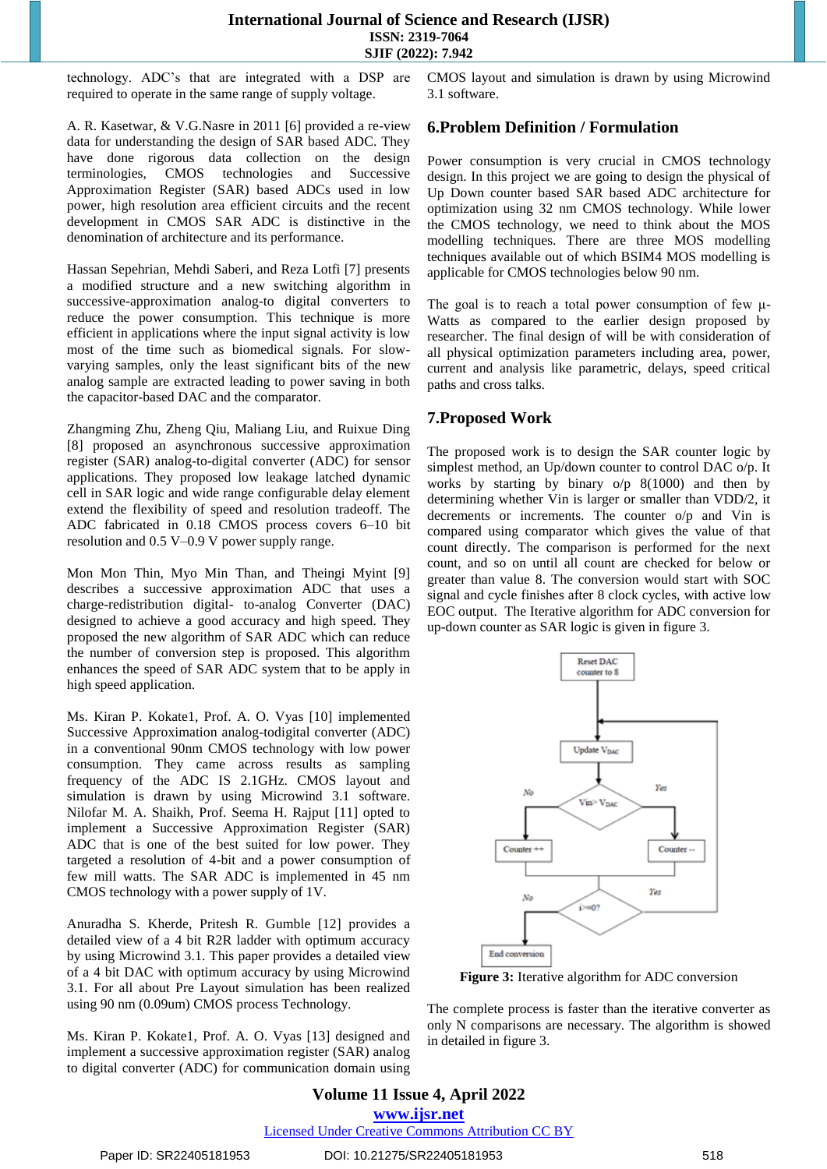#### **International Journal of Science and Research (IJSR) ISSN: 2319-7064 SJIF (2022): 7.942**

technology. ADC's that are integrated with a DSP are required to operate in the same range of supply voltage.

A. R. Kasetwar, & V.G.Nasre in 2011 [6] provided a re-view data for understanding the design of SAR based ADC. They have done rigorous data collection on the design terminologies, CMOS technologies and Successive Approximation Register (SAR) based ADCs used in low power, high resolution area efficient circuits and the recent development in CMOS SAR ADC is distinctive in the denomination of architecture and its performance.

Hassan Sepehrian, Mehdi Saberi, and Reza Lotfi [7] presents a modified structure and a new switching algorithm in successive-approximation analog-to digital converters to reduce the power consumption. This technique is more efficient in applications where the input signal activity is low most of the time such as biomedical signals. For slowvarying samples, only the least significant bits of the new analog sample are extracted leading to power saving in both the capacitor-based DAC and the comparator.

Zhangming Zhu, Zheng Qiu, Maliang Liu, and Ruixue Ding [8] proposed an asynchronous successive approximation register (SAR) analog-to-digital converter (ADC) for sensor applications. They proposed low leakage latched dynamic cell in SAR logic and wide range configurable delay element extend the flexibility of speed and resolution tradeoff. The ADC fabricated in 0.18 CMOS process covers 6–10 bit resolution and 0.5 V–0.9 V power supply range.

Mon Mon Thin, Myo Min Than, and Theingi Myint [9] describes a successive approximation ADC that uses a charge-redistribution digital- to-analog Converter (DAC) designed to achieve a good accuracy and high speed. They proposed the new algorithm of SAR ADC which can reduce the number of conversion step is proposed. This algorithm enhances the speed of SAR ADC system that to be apply in high speed application.

Ms. Kiran P. Kokate1, Prof. A. O. Vyas [10] implemented Successive Approximation analog-todigital converter (ADC) in a conventional 90nm CMOS technology with low power consumption. They came across results as sampling frequency of the ADC IS 2.1GHz. CMOS layout and simulation is drawn by using Microwind 3.1 software. Nilofar M. A. Shaikh, Prof. Seema H. Rajput [11] opted to implement a Successive Approximation Register (SAR) ADC that is one of the best suited for low power. They targeted a resolution of 4-bit and a power consumption of few mill watts. The SAR ADC is implemented in 45 nm CMOS technology with a power supply of 1V.

Anuradha S. Kherde, Pritesh R. Gumble [12] provides a detailed view of a 4 bit R2R ladder with optimum accuracy by using Microwind 3.1. This paper provides a detailed view of a 4 bit DAC with optimum accuracy by using Microwind 3.1. For all about Pre Layout simulation has been realized using 90 nm (0.09um) CMOS process Technology.

Ms. Kiran P. Kokate1, Prof. A. O. Vyas [13] designed and implement a successive approximation register (SAR) analog to digital converter (ADC) for communication domain using CMOS layout and simulation is drawn by using Microwind 3.1 software.

## **6.Problem Definition / Formulation**

Power consumption is very crucial in CMOS technology design. In this project we are going to design the physical of Up Down counter based SAR based ADC architecture for optimization using 32 nm CMOS technology. While lower the CMOS technology, we need to think about the MOS modelling techniques. There are three MOS modelling techniques available out of which BSIM4 MOS modelling is applicable for CMOS technologies below 90 nm.

The goal is to reach a total power consumption of few μ-Watts as compared to the earlier design proposed by researcher. The final design of will be with consideration of all physical optimization parameters including area, power, current and analysis like parametric, delays, speed critical paths and cross talks.

## **7.Proposed Work**

The proposed work is to design the SAR counter logic by simplest method, an Up/down counter to control DAC o/p. It works by starting by binary  $o/p$  8(1000) and then by determining whether Vin is larger or smaller than VDD/2, it decrements or increments. The counter o/p and Vin is compared using comparator which gives the value of that count directly. The comparison is performed for the next count, and so on until all count are checked for below or greater than value 8. The conversion would start with SOC signal and cycle finishes after 8 clock cycles, with active low EOC output. The Iterative algorithm for ADC conversion for up-down counter as SAR logic is given in figure 3.



**Figure 3:** Iterative algorithm for ADC conversion

The complete process is faster than the iterative converter as only N comparisons are necessary. The algorithm is showed in detailed in figure 3.

**Volume 11 Issue 4, April 2022 www.ijsr.net** Licensed Under Creative Commons Attribution CC BY